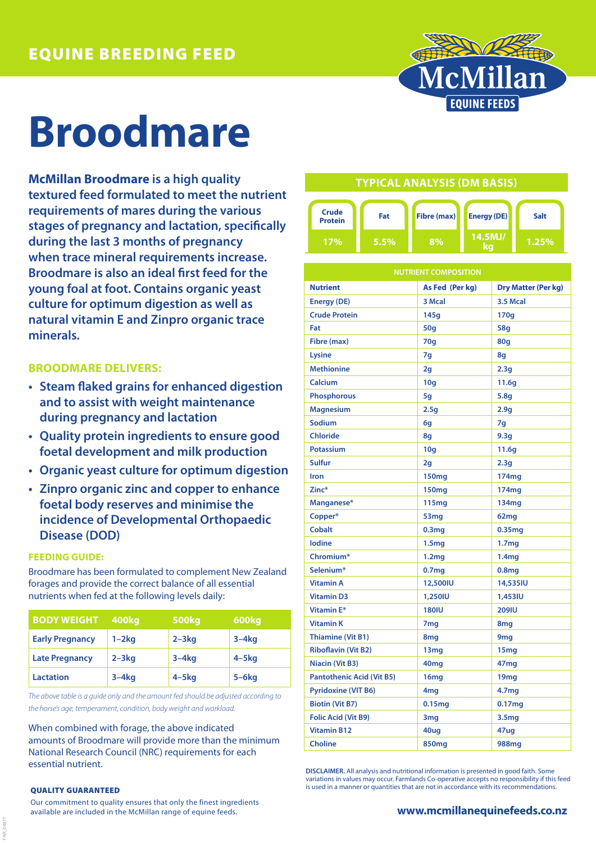

# **Broodmare**

**McMillan Broodmare is a high quality textured feed formulated to meet the nutrient requirements of mares during the various stages of pregnancy and lactation, specifically during the last 3 months of pregnancy when trace mineral requirements increase. Broodmare is also an ideal first feed for the young foal at foot. Contains organic yeast culture for optimum digestion as well as natural vitamin E and Zinpro organic trace minerals.**

## **BROODMARE DELIVERS:**

- **• Steam flaked grains for enhanced digestion and to assist with weight maintenance during pregnancy and lactation**
- **• Quality protein ingredients to ensure good foetal development and milk production**
- **• Organic yeast culture for optimum digestion**
- **• Zinpro organic zinc and copper to enhance foetal body reserves and minimise the incidence of Developmental Orthopaedic Disease (DOD)**

### **FEEDING GUIDE:**

Broodmare has been formulated to complement New Zealand forages and provide the correct balance of all essential nutrients when fed at the following levels daily:

| <b>BODY WEIGHT</b>     | 400kg     | <b>500kg</b> | 600kg      |
|------------------------|-----------|--------------|------------|
| <b>Early Pregnancy</b> | $1-2kq$   | $2 - 3$ kg   | $3-4kq$    |
| <b>Late Pregnancy</b>  | $2 - 3kq$ | $3-4kq$      | $4 - 5$ kg |
| <b>Lactation</b>       | $3-4kq$   | $4 - 5$ kg   | $5 - 6$ kg |

*The above table is a guide only and the amount fed should be adjusted according to the horse's age, temperament, condition, body weight and workload.*

When combined with forage, the above indicated amounts of Broodmare will provide more than the minimum National Research Council (NRC) requirements for each essential nutrient.

#### QUALITY GUARANTEED

FAR\_04971

Our commitment to quality ensures that only the finest ingredients available are included in the McMillan range of equine feeds.

## **TYPICAL ANALYSIS (DM BASIS)**



| <b>NUTRIENT COMPOSITION</b>      |                   |                            |  |  |
|----------------------------------|-------------------|----------------------------|--|--|
| <b>Nutrient</b>                  | As Fed (Per kg)   | <b>Dry Matter (Per kg)</b> |  |  |
| <b>Energy (DE)</b>               | 3 Mcal            | 3.5 Mcal                   |  |  |
| <b>Crude Protein</b>             | 145g              | 170g                       |  |  |
| Fat                              | 50q               | 58q                        |  |  |
| Fibre (max)                      | 70q               | 80q                        |  |  |
| Lysine                           | 7q                | 8q                         |  |  |
| <b>Methionine</b>                | 2g                | 2.3q                       |  |  |
| Calcium                          | 10q               | 11.6q                      |  |  |
| <b>Phosphorous</b>               | 5g                | 5.8q                       |  |  |
| <b>Magnesium</b>                 | 2.5g              | 2.9 <sub>g</sub>           |  |  |
| Sodium                           | 6q                | 7q                         |  |  |
| <b>Chloride</b>                  | 8g                | 9.3 <sub>g</sub>           |  |  |
| <b>Potassium</b>                 | 10q               | 11.6q                      |  |  |
| <b>Sulfur</b>                    | 2 <sub>g</sub>    | 2.3q                       |  |  |
| Iron                             | <b>150mg</b>      | 174 <sub>mg</sub>          |  |  |
| Zinc*                            | <b>150mg</b>      | 174mg                      |  |  |
| Manganese*                       | 115 <sub>mg</sub> | 134 <sub>mg</sub>          |  |  |
| Copper*                          | 53 <sub>mg</sub>  | 62mg                       |  |  |
| <b>Cobalt</b>                    | 0.3 <sub>mg</sub> | 0.35 <sub>mg</sub>         |  |  |
| <b>lodine</b>                    | 1.5mg             | 1.7 <sub>mg</sub>          |  |  |
| Chromium*                        | 1.2 <sub>mg</sub> | 1.4 <sub>mg</sub>          |  |  |
| Selenium*                        | 0.7 <sub>mg</sub> | 0.8 <sub>mg</sub>          |  |  |
| <b>Vitamin A</b>                 | 12,500IU          | 14,535IU                   |  |  |
| <b>Vitamin D3</b>                | 1,250IU           | 1,453IU                    |  |  |
| <b>Vitamin E*</b>                | <b>180IU</b>      | <b>209IU</b>               |  |  |
| <b>Vitamin K</b>                 | 7 <sub>mg</sub>   | 8 <sub>mg</sub>            |  |  |
| <b>Thiamine (Vit B1)</b>         | 8mg               | 9 <sub>mg</sub>            |  |  |
| <b>Riboflavin (Vit B2)</b>       | 13mg              | 15 <sub>mg</sub>           |  |  |
| Niacin (Vit B3)                  | 40mg              | 47mg                       |  |  |
| <b>Pantothenic Acid (Vit B5)</b> | 16mg              | 19 <sub>mg</sub>           |  |  |
| <b>Pyridoxine (VIT B6)</b>       | 4mg               | 4.7mg                      |  |  |
| <b>Biotin (Vit B7)</b>           | 0.15mg            | 0.17mg                     |  |  |
| <b>Folic Acid (Vit B9)</b>       | 3mg               | 3.5 <sub>mg</sub>          |  |  |
| <b>Vitamin B12</b>               | 40ug              | 47ug                       |  |  |
| <b>Choline</b>                   | <b>850mg</b>      | 988mg                      |  |  |

**DISCLAIMER.** All analysis and nutritional information is presented in good faith. Some variations in values may occur. Farmlands Co-operative accepts no responsibility if this feed is used in a manner or quantities that are not in accordance with its recommendations.

### **www.mcmillanequinefeeds.co.nz**